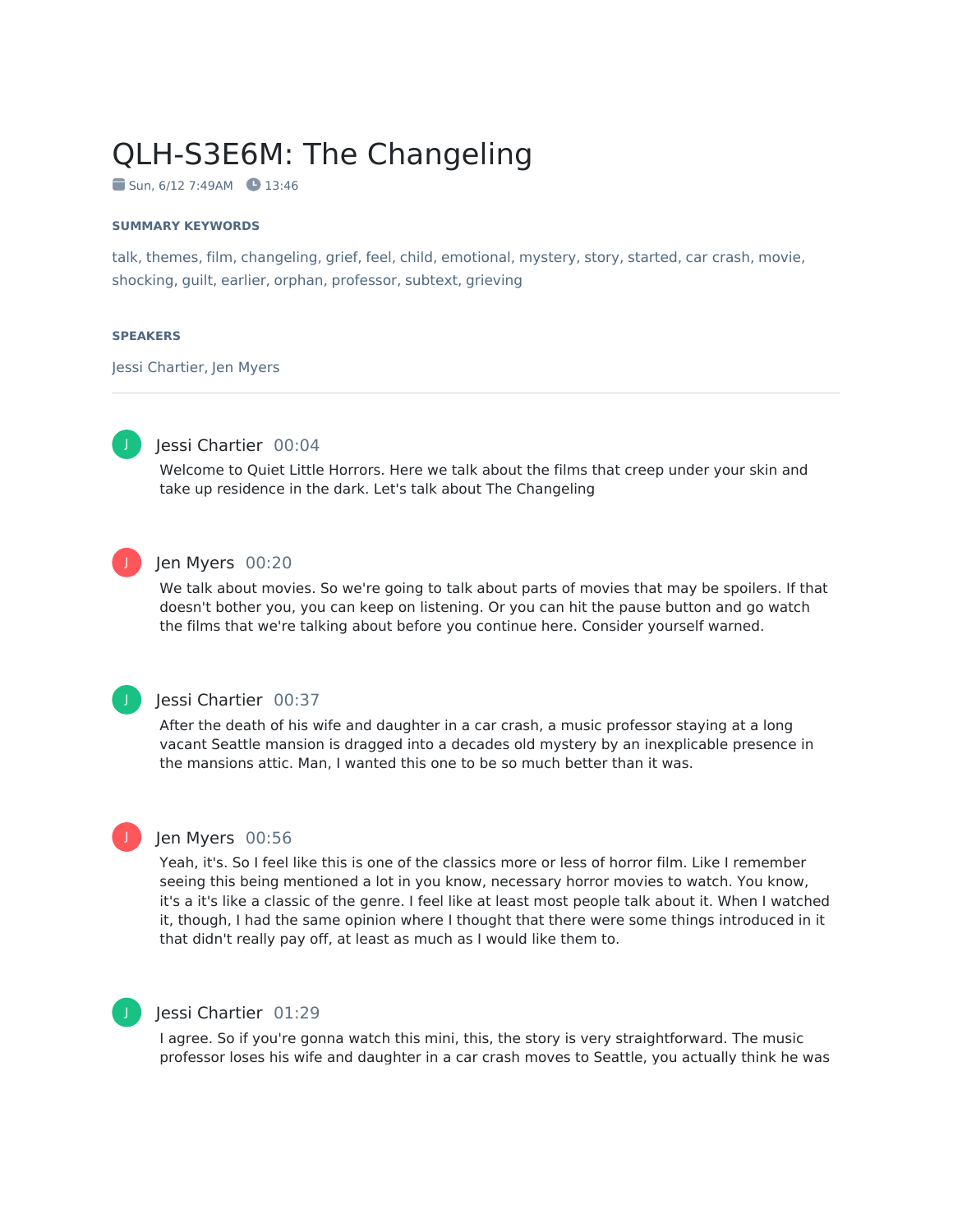# QLH-S3E6M: The Changeling

 $\blacksquare$  Sun, 6/12 7:49AM  $\blacksquare$  13:46

#### **SUMMARY KEYWORDS**

talk, themes, film, changeling, grief, feel, child, emotional, mystery, story, started, car crash, movie, shocking, guilt, earlier, orphan, professor, subtext, grieving

#### **SPEAKERS**

Jessi Chartier, Jen Myers



### Jessi Chartier 00:04

Welcome to Quiet Little Horrors. Here we talk about the films that creep under your skin and take up residence in the dark. Let's talk about The Changeling



### Jen Myers 00:20

We talk about movies. So we're going to talk about parts of movies that may be spoilers. If that doesn't bother you, you can keep on listening. Or you can hit the pause button and go watch the films that we're talking about before you continue here. Consider yourself warned.



J

### Jessi Chartier 00:37

After the death of his wife and daughter in a car crash, a music professor staying at a long vacant Seattle mansion is dragged into a decades old mystery by an inexplicable presence in the mansions attic. Man, I wanted this one to be so much better than it was.

### Jen Myers 00:56

Yeah, it's. So I feel like this is one of the classics more or less of horror film. Like I remember seeing this being mentioned a lot in you know, necessary horror movies to watch. You know, it's a it's like a classic of the genre. I feel like at least most people talk about it. When I watched it, though, I had the same opinion where I thought that there were some things introduced in it that didn't really pay off, at least as much as I would like them to.



### Jessi Chartier 01:29

I agree. So if you're gonna watch this mini, this, the story is very straightforward. The music professor loses his wife and daughter in a car crash moves to Seattle, you actually think he was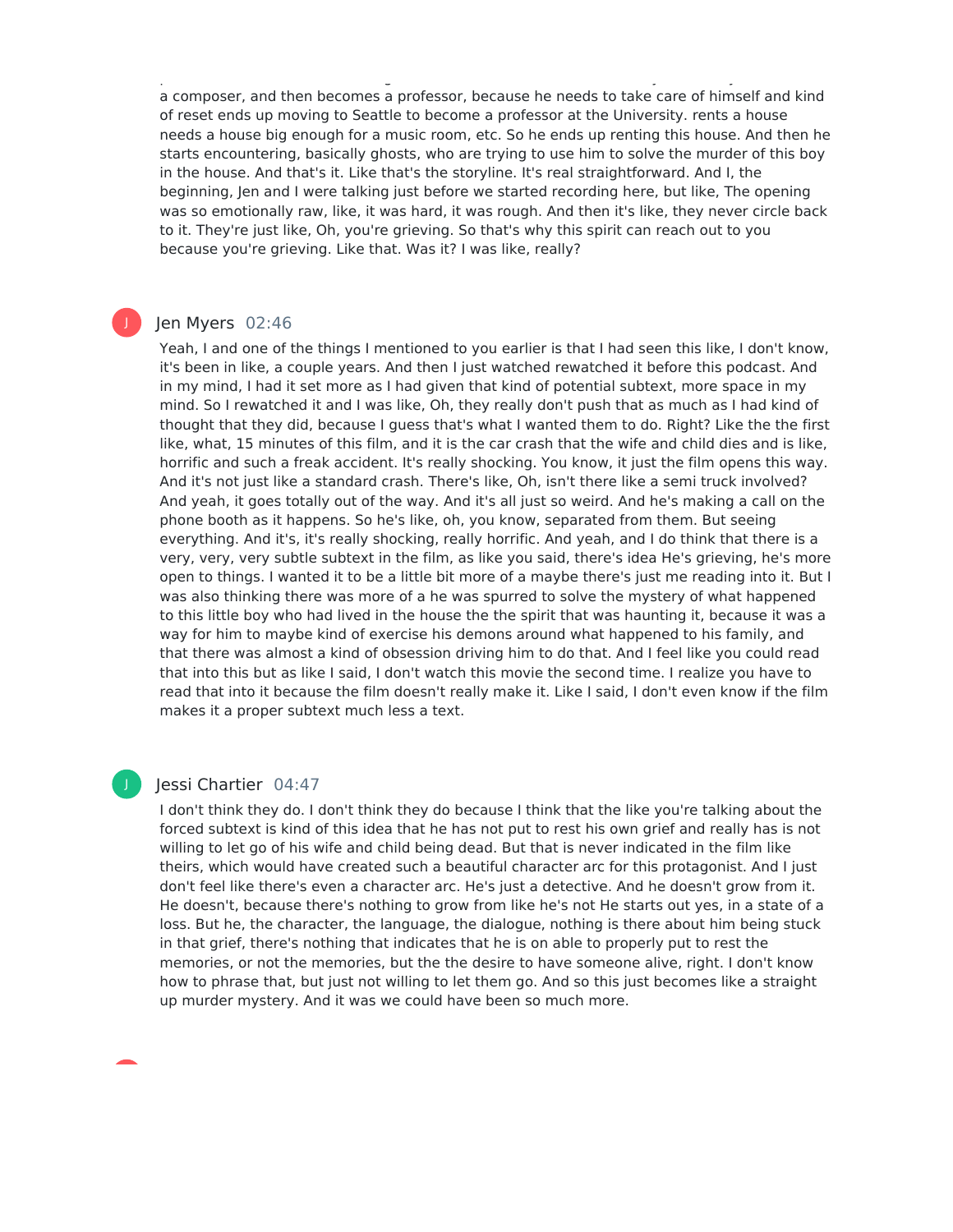professor loses his wife and daughter in a car crash moves to Seattle, you actually think he was a composer, and then becomes a professor, because he needs to take care of himself and kind of reset ends up moving to Seattle to become a professor at the University. rents a house needs a house big enough for a music room, etc. So he ends up renting this house. And then he starts encountering, basically ghosts, who are trying to use him to solve the murder of this boy in the house. And that's it. Like that's the storyline. It's real straightforward. And I, the beginning, Jen and I were talking just before we started recording here, but like, The opening was so emotionally raw, like, it was hard, it was rough. And then it's like, they never circle back to it. They're just like, Oh, you're grieving. So that's why this spirit can reach out to you because you're grieving. Like that. Was it? I was like, really?

### Jen Myers 02:46

J

Yeah, I and one of the things I mentioned to you earlier is that I had seen this like, I don't know, it's been in like, a couple years. And then I just watched rewatched it before this podcast. And in my mind, I had it set more as I had given that kind of potential subtext, more space in my mind. So I rewatched it and I was like, Oh, they really don't push that as much as I had kind of thought that they did, because I guess that's what I wanted them to do. Right? Like the the first like, what, 15 minutes of this film, and it is the car crash that the wife and child dies and is like, horrific and such a freak accident. It's really shocking. You know, it just the film opens this way. And it's not just like a standard crash. There's like, Oh, isn't there like a semi truck involved? And yeah, it goes totally out of the way. And it's all just so weird. And he's making a call on the phone booth as it happens. So he's like, oh, you know, separated from them. But seeing everything. And it's, it's really shocking, really horrific. And yeah, and I do think that there is a very, very, very subtle subtext in the film, as like you said, there's idea He's grieving, he's more open to things. I wanted it to be a little bit more of a maybe there's just me reading into it. But I was also thinking there was more of a he was spurred to solve the mystery of what happened to this little boy who had lived in the house the the spirit that was haunting it, because it was a way for him to maybe kind of exercise his demons around what happened to his family, and that there was almost a kind of obsession driving him to do that. And I feel like you could read that into this but as like I said, I don't watch this movie the second time. I realize you have to read that into it because the film doesn't really make it. Like I said, I don't even know if the film makes it a proper subtext much less a text.

### Jessi Chartier 04:47

I don't think they do. I don't think they do because I think that the like you're talking about the forced subtext is kind of this idea that he has not put to rest his own grief and really has is not willing to let go of his wife and child being dead. But that is never indicated in the film like theirs, which would have created such a beautiful character arc for this protagonist. And I just don't feel like there's even a character arc. He's just a detective. And he doesn't grow from it. He doesn't, because there's nothing to grow from like he's not He starts out yes, in a state of a loss. But he, the character, the language, the dialogue, nothing is there about him being stuck in that grief, there's nothing that indicates that he is on able to properly put to rest the memories, or not the memories, but the the desire to have someone alive, right. I don't know how to phrase that, but just not willing to let them go. And so this just becomes like a straight up murder mystery. And it was we could have been so much more.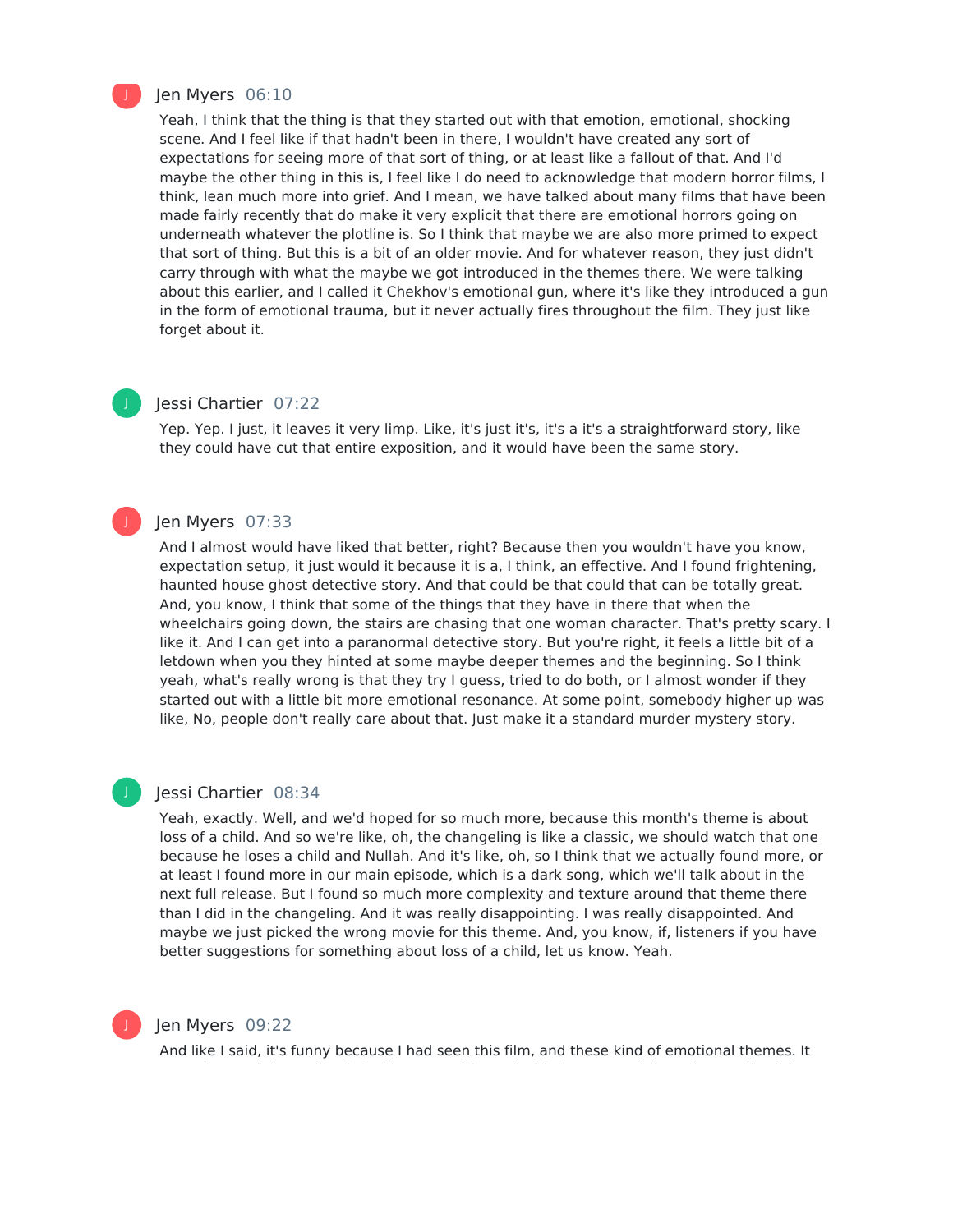

#### Jen Myers 06:10

Yeah, I think that the thing is that they started out with that emotion, emotional, shocking scene. And I feel like if that hadn't been in there, I wouldn't have created any sort of expectations for seeing more of that sort of thing, or at least like a fallout of that. And I'd maybe the other thing in this is, I feel like I do need to acknowledge that modern horror films, I think, lean much more into grief. And I mean, we have talked about many films that have been made fairly recently that do make it very explicit that there are emotional horrors going on underneath whatever the plotline is. So I think that maybe we are also more primed to expect that sort of thing. But this is a bit of an older movie. And for whatever reason, they just didn't carry through with what the maybe we got introduced in the themes there. We were talking about this earlier, and I called it Chekhov's emotional gun, where it's like they introduced a gun in the form of emotional trauma, but it never actually fires throughout the film. They just like forget about it.

# J

J

### Jessi Chartier 07:22

Yep. Yep. I just, it leaves it very limp. Like, it's just it's, it's a it's a straightforward story, like they could have cut that entire exposition, and it would have been the same story.

### Jen Myers 07:33

And I almost would have liked that better, right? Because then you wouldn't have you know, expectation setup, it just would it because it is a, I think, an effective. And I found frightening, haunted house ghost detective story. And that could be that could that can be totally great. And, you know, I think that some of the things that they have in there that when the wheelchairs going down, the stairs are chasing that one woman character. That's pretty scary. I like it. And I can get into a paranormal detective story. But you're right, it feels a little bit of a letdown when you they hinted at some maybe deeper themes and the beginning. So I think yeah, what's really wrong is that they try I guess, tried to do both, or I almost wonder if they started out with a little bit more emotional resonance. At some point, somebody higher up was like, No, people don't really care about that. Just make it a standard murder mystery story.

#### Jessi Chartier 08:34

Yeah, exactly. Well, and we'd hoped for so much more, because this month's theme is about loss of a child. And so we're like, oh, the changeling is like a classic, we should watch that one because he loses a child and Nullah. And it's like, oh, so I think that we actually found more, or at least I found more in our main episode, which is a dark song, which we'll talk about in the next full release. But I found so much more complexity and texture around that theme there than I did in the changeling. And it was really disappointing. I was really disappointed. And maybe we just picked the wrong movie for this theme. And, you know, if, listeners if you have better suggestions for something about loss of a child, let us know. Yeah.



J

### Jen Myers 09:22

And like I said, it's funny because I had seen this film, and these kind of emotional themes. It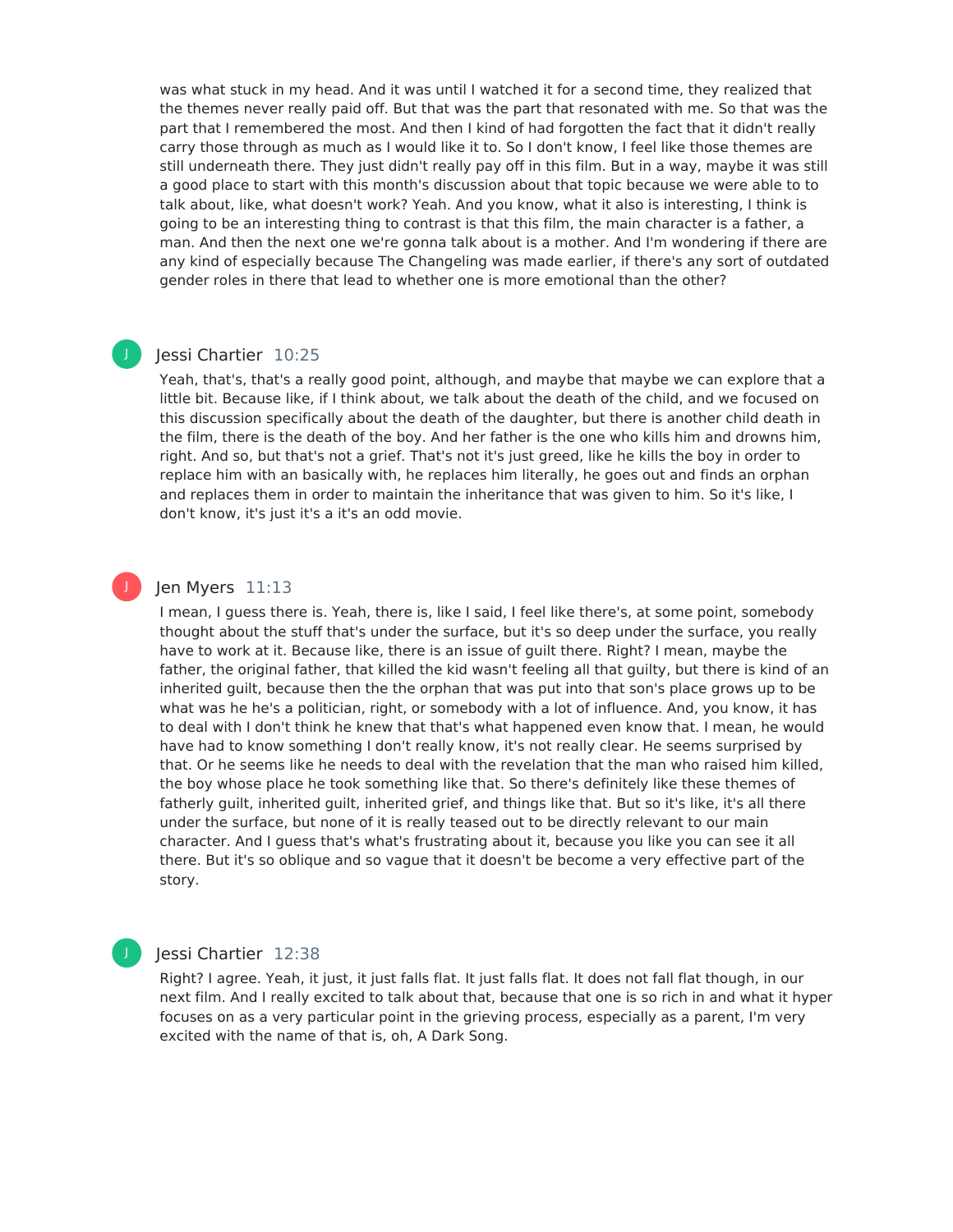was what stuck in my head. And it was until I watched it for a second time, they realized that the themes never really paid off. But that was the part that resonated with me. So that was the part that I remembered the most. And then I kind of had forgotten the fact that it didn't really carry those through as much as I would like it to. So I don't know, I feel like those themes are still underneath there. They just didn't really pay off in this film. But in a way, maybe it was still a good place to start with this month's discussion about that topic because we were able to to talk about, like, what doesn't work? Yeah. And you know, what it also is interesting, I think is going to be an interesting thing to contrast is that this film, the main character is a father, a man. And then the next one we're gonna talk about is a mother. And I'm wondering if there are any kind of especially because The Changeling was made earlier, if there's any sort of outdated gender roles in there that lead to whether one is more emotional than the other?

### Jessi Chartier 10:25

J

J

Yeah, that's, that's a really good point, although, and maybe that maybe we can explore that a little bit. Because like, if I think about, we talk about the death of the child, and we focused on this discussion specifically about the death of the daughter, but there is another child death in the film, there is the death of the boy. And her father is the one who kills him and drowns him, right. And so, but that's not a grief. That's not it's just greed, like he kills the boy in order to replace him with an basically with, he replaces him literally, he goes out and finds an orphan and replaces them in order to maintain the inheritance that was given to him. So it's like, I don't know, it's just it's a it's an odd movie.

### Jen Myers 11:13

I mean, I guess there is. Yeah, there is, like I said, I feel like there's, at some point, somebody thought about the stuff that's under the surface, but it's so deep under the surface, you really have to work at it. Because like, there is an issue of guilt there. Right? I mean, maybe the father, the original father, that killed the kid wasn't feeling all that guilty, but there is kind of an inherited guilt, because then the the orphan that was put into that son's place grows up to be what was he he's a politician, right, or somebody with a lot of influence. And, you know, it has to deal with I don't think he knew that that's what happened even know that. I mean, he would have had to know something I don't really know, it's not really clear. He seems surprised by that. Or he seems like he needs to deal with the revelation that the man who raised him killed, the boy whose place he took something like that. So there's definitely like these themes of fatherly quilt, inherited guilt, inherited grief, and things like that. But so it's like, it's all there under the surface, but none of it is really teased out to be directly relevant to our main character. And I guess that's what's frustrating about it, because you like you can see it all there. But it's so oblique and so vague that it doesn't be become a very effective part of the story.

### Jessi Chartier 12:38

Right? I agree. Yeah, it just, it just falls flat. It just falls flat. It does not fall flat though, in our next film. And I really excited to talk about that, because that one is so rich in and what it hyper focuses on as a very particular point in the grieving process, especially as a parent, I'm very excited with the name of that is, oh, A Dark Song.